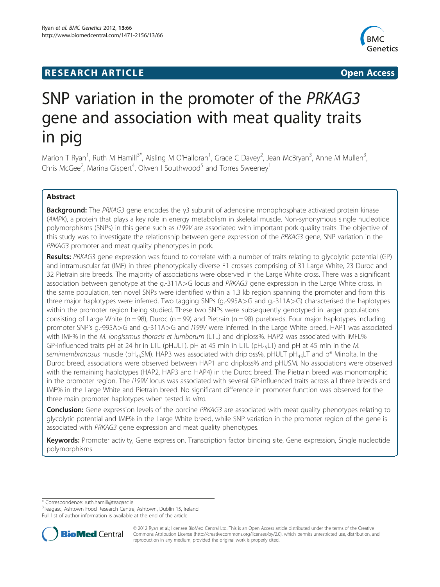## **RESEARCH ARTICLE Example 2008 CONSIDERING A RESEARCH ARTICLE**



# SNP variation in the promoter of the PRKAG3 gene and association with meat quality traits in pig

Marion T Ryan<sup>1</sup>, Ruth M Hamill<sup>3\*</sup>, Aisling M O'Halloran<sup>1</sup>, Grace C Davey<sup>2</sup>, Jean McBryan<sup>3</sup>, Anne M Mullen<sup>3</sup> , Chris McGee<sup>2</sup>, Marina Gispert<sup>4</sup>, Olwen I Southwood<sup>5</sup> and Torres Sweeney<sup>1</sup>

## Abstract

**Background:** The PRKAG3 gene encodes the γ3 subunit of adenosine monophosphate activated protein kinase (AMPK), a protein that plays a key role in energy metabolism in skeletal muscle. Non-synonymous single nucleotide polymorphisms (SNPs) in this gene such as I199V are associated with important pork quality traits. The objective of this study was to investigate the relationship between gene expression of the PRKAG3 gene, SNP variation in the PRKAG3 promoter and meat quality phenotypes in pork.

Results: PRKAG3 gene expression was found to correlate with a number of traits relating to glycolytic potential (GP) and intramuscular fat (IMF) in three phenotypically diverse F1 crosses comprising of 31 Large White, 23 Duroc and 32 Pietrain sire breeds. The majority of associations were observed in the Large White cross. There was a significant association between genotype at the g.-311A>G locus and PRKAG3 gene expression in the Large White cross. In the same population, ten novel SNPs were identified within a 1.3 kb region spanning the promoter and from this three major haplotypes were inferred. Two tagging SNPs (g.-995A>G and g.-311A>G) characterised the haplotypes within the promoter region being studied. These two SNPs were subsequently genotyped in larger populations consisting of Large White ( $n = 98$ ), Duroc ( $n = 99$ ) and Pietrain ( $n = 98$ ) purebreds. Four major haplotypes including promoter SNP's g.-995A>G and g.-311A>G and I199V were inferred. In the Large White breed, HAP1 was associated with IMF% in the M. longissmus thoracis et lumborum (LTL) and driploss%. HAP2 was associated with IMFL% GP-influenced traits pH at 24 hr in LTL (pHULT), pH at 45 min in LTL (pH<sub>45</sub>LT) and pH at 45 min in the M. semimembranosus muscle (pH<sub>45</sub>SM). HAP3 was associated with driploss%, pHULT pH<sub>45</sub>LT and b\* Minolta. In the Duroc breed, associations were observed between HAP1 and driploss% and pHUSM. No associations were observed with the remaining haplotypes (HAP2, HAP3 and HAP4) in the Duroc breed. The Pietrain breed was monomorphic in the promoter region. The I199V locus was associated with several GP-influenced traits across all three breeds and IMF% in the Large White and Pietrain breed. No significant difference in promoter function was observed for the three main promoter haplotypes when tested in vitro.

**Conclusion:** Gene expression levels of the porcine PRKAG3 are associated with meat quality phenotypes relating to glycolytic potential and IMF% in the Large White breed, while SNP variation in the promoter region of the gene is associated with PRKAG3 gene expression and meat quality phenotypes.

Keywords: Promoter activity, Gene expression, Transcription factor binding site, Gene expression, Single nucleotide polymorphisms

\* Correspondence: [ruth.hamill@teagasc.ie](mailto:ruth.hamill@teagasc.ie) <sup>3</sup>

<sup>3</sup>Teagasc, Ashtown Food Research Centre, Ashtown, Dublin 15, Ireland Full list of author information is available at the end of the article



© 2012 Ryan et al.; licensee BioMed Central Ltd. This is an Open Access article distributed under the terms of the Creative Commons Attribution License [\(http://creativecommons.org/licenses/by/2.0\)](http://creativecommons.org/licenses/by/2.0), which permits unrestricted use, distribution, and reproduction in any medium, provided the original work is properly cited.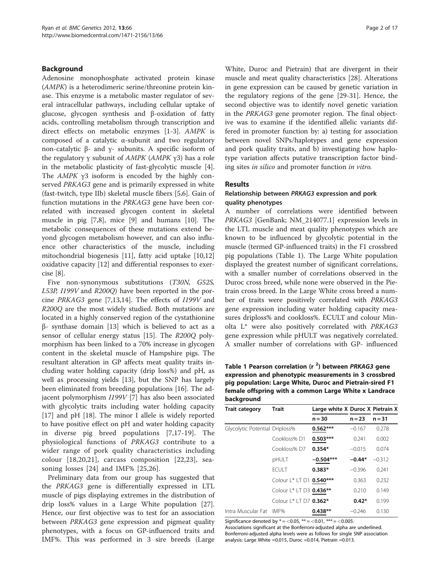## Background

Adenosine monophosphate activated protein kinase (AMPK) is a heterodimeric serine/threonine protein kinase. This enzyme is a metabolic master regulator of several intracellular pathways, including cellular uptake of glucose, glycogen synthesis and β-oxidation of fatty acids, controlling metabolism through transcription and direct effects on metabolic enzymes [[1-3\]](#page-14-0). AMPK is composed of a catalytic α-subunit and two regulatory non-catalytic β- and γ- subunits. A specific isoform of the regulatory γ subunit of  $AMPK$  ( $AMPK$  γ3) has a role in the metabolic plasticity of fast-glycolytic muscle [\[4](#page-14-0)]. The AMPK <sup>γ</sup>3 isoform is encoded by the highly conserved PRKAG3 gene and is primarily expressed in white (fast-twitch, type IIb) skeletal muscle fibers [[5,6\]](#page-14-0). Gain of function mutations in the PRKAG3 gene have been correlated with increased glycogen content in skeletal muscle in pig [\[7,8](#page-14-0)], mice [[9](#page-14-0)] and humans [[10](#page-14-0)]. The metabolic consequences of these mutations extend beyond glycogen metabolism however, and can also influence other characteristics of the muscle, including mitochondrial biogenesis [\[11\]](#page-14-0), fatty acid uptake [[10](#page-14-0),[12](#page-15-0)] oxidative capacity [\[12](#page-15-0)] and differential responses to exercise [[8\]](#page-14-0).

Five non-synonymous substitutions (T30N, G52S, L53P, I199V and R200Q) have been reported in the porcine PRKAG3 gene [\[7](#page-14-0)[,13,14](#page-15-0)]. The effects of I199V and R200Q are the most widely studied. Both mutations are located in a highly conserved region of the cystathionine β- synthase domain [\[13\]](#page-15-0) which is believed to act as a sensor of cellular energy status [\[15\]](#page-15-0). The R200Q polymorphism has been linked to a 70% increase in glycogen content in the skeletal muscle of Hampshire pigs. The resultant alteration in GP affects meat quality traits including water holding capacity (drip loss%) and pH, as well as processing yields [\[13](#page-15-0)], but the SNP has largely been eliminated from breeding populations [\[16\]](#page-15-0). The adjacent polymorphism I199V [\[7](#page-14-0)] has also been associated with glycolytic traits including water holding capacity [[17\]](#page-15-0) and pH [[18](#page-15-0)]. The minor I allele is widely reported to have positive effect on pH and water holding capacity in diverse pig breed populations [\[7](#page-14-0),[17-19\]](#page-15-0). The physiological functions of PRKAG3 contribute to a wider range of pork quality characteristics including colour [[18,20,21\]](#page-15-0), carcass composition [\[22](#page-15-0),[23\]](#page-15-0), seasoning losses [[24](#page-15-0)] and IMF% [[25,26\]](#page-15-0).

Preliminary data from our group has suggested that the PRKAG3 gene is differentially expressed in LTL muscle of pigs displaying extremes in the distribution of drip loss% values in a Large White population [\[27](#page-15-0)]. Hence, our first objective was to test for an association between PRKAG3 gene expression and pigmeat quality phenotypes, with a focus on GP-influenced traits and IMF%. This was performed in 3 sire breeds (Large White, Duroc and Pietrain) that are divergent in their muscle and meat quality characteristics [[28\]](#page-15-0). Alterations in gene expression can be caused by genetic variation in the regulatory regions of the gene [[29](#page-15-0)-[31\]](#page-15-0). Hence, the second objective was to identify novel genetic variation in the PRKAG3 gene promoter region. The final objective was to examine if the identified allelic variants differed in promoter function by: a) testing for association between novel SNPs/haplotypes and gene expression and pork quality traits, and b) investigating how haplotype variation affects putative transcription factor binding sites in silico and promoter function in vitro.

#### **Results**

## Relationship between PRKAG3 expression and pork quality phenotypes

A number of correlations were identified between PRKAG3 [GenBank; NM\_214077.1] expression levels in the LTL muscle and meat quality phenotypes which are known to be influenced by glycolytic potential in the muscle (termed GP-influenced traits) in the F1 crossbred pig populations (Table 1). The Large White population displayed the greatest number of significant correlations, with a smaller number of correlations observed in the Duroc cross breed, while none were observed in the Pietrain cross breed. In the Large White cross breed a number of traits were positively correlated with PRKAG3 gene expression including water holding capacity measures driploss% and cookloss%. ECULT and colour Minolta L\* were also positively correlated with PRKAG3 gene expression while pHULT was negatively correlated. A smaller number of correlations with GP- influenced

Table 1 Pearson correlation  $(r<sup>2</sup>)$  between PRKAG3 gene expression and phenotypic measurements in 3 crossbred pig population: Large White, Duroc and Pietrain-sired F1 female offspring with a common Large White x Landrace background

| <b>Trait category</b>          | <b>Trait</b>             | Large white X Duroc X Pietrain X |          |          |
|--------------------------------|--------------------------|----------------------------------|----------|----------|
|                                |                          | $n = 30$                         | $n = 23$ | $n = 31$ |
| Glycolytic Potential Driploss% |                          | $0.562***$                       | $-0.167$ | 0.278    |
|                                | Cookloss% D1             | $0.503***$                       | 0.241    | 0.002    |
|                                | Cookloss% D7             | $0.354*$                         | $-0.015$ | 0.074    |
|                                | pHULT                    | $-0.504***$                      | $-0.44*$ | $-0.312$ |
|                                | <b>FCULT</b>             | $0.383*$                         | $-0.396$ | 0.241    |
|                                | Colour L* LT D1 0.540*** |                                  | 0.363    | 0.232    |
|                                | Colour L* LT D3 0.436**  |                                  | 0.210    | 0.149    |
|                                | Colour   *   T D7 0.362* |                                  | $0.42*$  | 0.199    |
| Intra Muscular Fat             | IMF%                     | $0.438**$                        | $-0.246$ | 0.130    |

Significance denoted by  $* = <0.05$ ,  $** = <0.01$ ,  $*** = <0.005$ .

Associations significant at the Bonferroni-adjusted alpha are underlined. Bonferroni-adjusted alpha levels were as follows for single SNP association analysis: Large White =0.015, Duroc =0.014, Pietrain =0.013.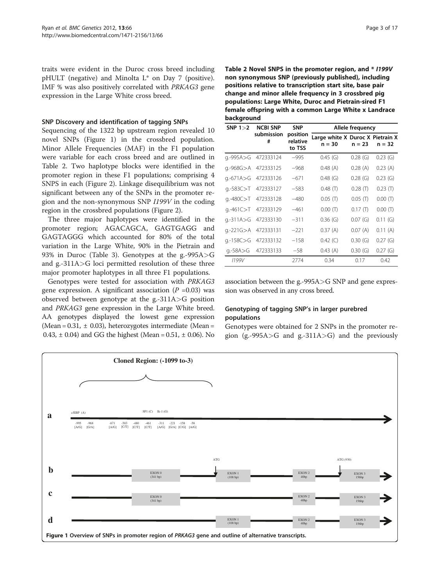traits were evident in the Duroc cross breed including pHULT (negative) and Minolta L\* on Day 7 (positive). IMF % was also positively correlated with PRKAG3 gene expression in the Large White cross breed.

#### SNP Discovery and identification of tagging SNPs

Sequencing of the 1322 bp upstream region revealed 10 novel SNPs (Figure 1) in the crossbred population. Minor Allele Frequencies (MAF) in the F1 population were variable for each cross breed and are outlined in Table 2. Two haplotype blocks were identified in the promoter region in these F1 populations; comprising 4 SNPS in each (Figure [2\)](#page-3-0). Linkage disequilibrium was not significant between any of the SNPs in the promoter region and the non-synonymous SNP I199V in the coding region in the crossbred populations (Figure [2](#page-3-0)).

The three major haplotypes were identified in the promoter region; AGACAGCA, GAGTGAGG and GAGTAGGG which accounted for 80% of the total variation in the Large White, 90% in the Pietrain and 93% in Duroc (Table [3\)](#page-3-0). Genotypes at the g.-995A>G and g.-311A>G loci permitted resolution of these three major promoter haplotypes in all three F1 populations.

Genotypes were tested for association with PRKAG3 gene expression. A significant association  $(P = 0.03)$  was observed between genotype at the g.-311A>G position and PRKAG3 gene expression in the Large White breed. AA genotypes displayed the lowest gene expression (Mean =  $0.31$ ,  $\pm$  0.03), heterozygotes intermediate (Mean = 0.43,  $\pm$  0.04) and GG the highest (Mean = 0.51,  $\pm$  0.06). No

Table 2 Novel SNPS in the promoter region, and \* I199V non synonymous SNP (previously published), including positions relative to transcription start site, base pair change and minor allele frequency in 3 crossbred pig populations: Large White, Duroc and Pietrain-sired F1 female offspring with a common Large White x Landrace background

| SNP $1>2$     | <b>NCBI SNP</b>     | <b>SNP</b>                     | Allele frequency                             |            |            |  |  |  |
|---------------|---------------------|--------------------------------|----------------------------------------------|------------|------------|--|--|--|
|               | submission<br>#     | position<br>relative<br>to TSS | Large white X Duroc X Pietrain X<br>$n = 30$ | $n = 23$   | $n = 32$   |  |  |  |
|               | g.-995A>G 472333124 | $-995$                         | $0.45$ (G)                                   | 0.28(G)    | $0.23$ (G) |  |  |  |
| q.-968G>A     | 472333125           | $-968$                         | 0.48(A)                                      | 0.28(A)    | 0.23(A)    |  |  |  |
| g.-671A>G     | 472333126           | $-671$                         | 0.48(G)                                      | 0.28(G)    | $0.23$ (G) |  |  |  |
| q.-583C>T     | 472333127           | $-583$                         | $0.48$ (T)                                   | $0.28$ (T) | $0.23$ (T) |  |  |  |
| g.-480C>T     | 472333128           | $-480$                         | $0.05$ (T)                                   | $0.05$ (T) | $0.00$ (T) |  |  |  |
| q.-461C>T     | 472333129           | $-461$                         | $0.00$ (T)                                   | $0.17$ (T) | $0.00$ (T) |  |  |  |
| $q.-311A > G$ | 472333130           | $-311$                         | 0.36(G)                                      | $0.07$ (G) | 0.11(G)    |  |  |  |
| q.-221G>A     | 472333131           | $-221$                         | 0.37(A)                                      | 0.07(A)    | 0.11(A)    |  |  |  |
| g.-158C>G     | 472333132           | $-158$                         | $0.42$ (C)                                   | 0.30(G)    | 0.27(G)    |  |  |  |
| g.-58A>G      | 472333133           | $-58$                          | 0.43(A)                                      | 0.30(G)    | 0.27(G)    |  |  |  |
| 1199V         |                     | 2774                           | 0.34                                         | 0.17       | 0.42       |  |  |  |

association between the g.-995A>G SNP and gene expression was observed in any cross breed.

## Genotyping of tagging SNP's in larger purebred populations

Genotypes were obtained for 2 SNPs in the promoter region (g.-995A $>$ G and g.-311A $>$ G) and the previously

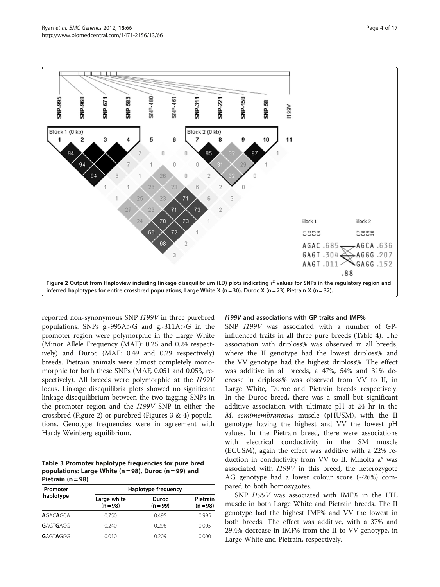<span id="page-3-0"></span>

reported non-synonymous SNP I199V in three purebred populations. SNPs g.-995A $>$ G and g.-311A $>$ G in the promoter region were polymorphic in the Large White (Minor Allele Frequency (MAF): 0.25 and 0.24 respectively) and Duroc (MAF: 0.49 and 0.29 respectively) breeds. Pietrain animals were almost completely monomorphic for both these SNPs (MAF, 0.051 and 0.053, respectively). All breeds were polymorphic at the I199V locus. Linkage disequilibria plots showed no significant linkage disequilibrium between the two tagging SNPs in the promoter region and the I199V SNP in either the crossbred (Figure 2) or purebred (Figures [3](#page-4-0) & [4\)](#page-4-0) populations. Genotype frequencies were in agreement with Hardy Weinberg equilibrium.

Table 3 Promoter haplotype frequencies for pure bred populations: Large White (n = 98), Duroc (n = 99) and Pietrain  $(n = 98)$ 

| Promoter        | Haplotype frequency       |                            |                        |
|-----------------|---------------------------|----------------------------|------------------------|
| haplotype       | Large white<br>$(n = 98)$ | <b>Duroc</b><br>$(n = 99)$ | Pietrain<br>$(n = 98)$ |
| <b>AGACAGCA</b> | 0.750                     | 0.495                      | 0.995                  |
| GAGTGAGG        | 0.240                     | 0.296                      | 0.005                  |
| GAGTAGGG        | 0.010                     | 0.209                      | 0.000                  |

#### I199V and associations with GP traits and IMF%

SNP I199V was associated with a number of GPinfluenced traits in all three pure breeds (Table [4](#page-5-0)). The association with driploss% was observed in all breeds, where the II genotype had the lowest driploss% and the VV genotype had the highest driploss%. The effect was additive in all breeds, a 47%, 54% and 31% decrease in driploss% was observed from VV to II, in Large White, Duroc and Pietrain breeds respectively. In the Duroc breed, there was a small but significant additive association with ultimate pH at 24 hr in the M. semimembranosus muscle (pHUSM), with the II genotype having the highest and VV the lowest pH values. In the Pietrain breed, there were associations with electrical conductivity in the SM muscle (ECUSM), again the effect was additive with a 22% reduction in conductivity from VV to II. Minolta a\* was associated with I199V in this breed, the heterozygote AG genotype had a lower colour score (~26%) compared to both homozygotes.

SNP I199V was associated with IMF% in the LTL muscle in both Large White and Pietrain breeds. The II genotype had the highest IMF% and VV the lowest in both breeds. The effect was additive, with a 37% and 29.4% decrease in IMF% from the II to VV genotype, in Large White and Pietrain, respectively.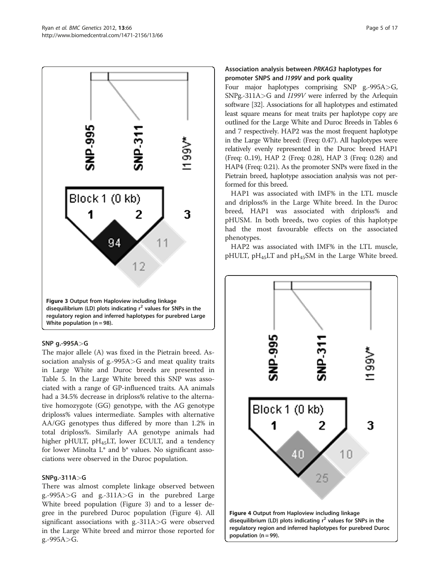<span id="page-4-0"></span>

## SNP g.-995A>G

The major allele (A) was fixed in the Pietrain breed. Association analysis of g.-995A>G and meat quality traits in Large White and Duroc breeds are presented in Table [5](#page-6-0). In the Large White breed this SNP was associated with a range of GP-influenced traits. AA animals had a 34.5% decrease in driploss% relative to the alternative homozygote (GG) genotype, with the AG genotype driploss% values intermediate. Samples with alternative AA/GG genotypes thus differed by more than 1.2% in total driploss%. Similarly AA genotype animals had higher pHULT, pH<sub>45</sub>LT, lower ECULT, and a tendency for lower Minolta L\* and b\* values. No significant associations were observed in the Duroc population.

## SNPg.-311A>G

There was almost complete linkage observed between g.-995A>G and g.-311A>G in the purebred Large White breed population (Figure 3) and to a lesser degree in the purebred Duroc population (Figure 4). All significant associations with g.-311A>G were observed in the Large White breed and mirror those reported for g.-995A>G.

## Association analysis between PRKAG3 haplotypes for promoter SNPS and I199V and pork quality

Four major haplotypes comprising SNP g.-995A>G, SNPg.-311A>G and I199V were inferred by the Arlequin software [\[32\]](#page-15-0). Associations for all haplotypes and estimated least square means for meat traits per haplotype copy are outlined for the Large White and Duroc Breeds in Tables [6](#page-7-0) and [7](#page-8-0) respectively. HAP2 was the most frequent haplotype in the Large White breed: (Freq: 0.47). All haplotypes were relatively evenly represented in the Duroc breed HAP1 (Freq: 0..19), HAP 2 (Freq: 0.28), HAP 3 (Freq: 0.28) and HAP4 (Freq: 0.21). As the promoter SNPs were fixed in the Pietrain breed, haplotype association analysis was not performed for this breed.

HAP1 was associated with IMF% in the LTL muscle and driploss% in the Large White breed. In the Duroc breed, HAP1 was associated with driploss% and pHUSM. In both breeds, two copies of this haplotype had the most favourable effects on the associated phenotypes.

HAP2 was associated with IMF% in the LTL muscle, pHULT,  $pH_{45}LT$  and  $pH_{45}SM$  in the Large White breed.

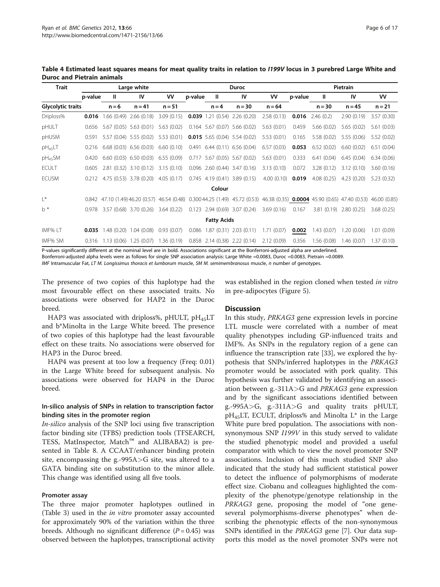| <b>Trait</b>             | Large white |            |                           |            | <b>Duroc</b> |                    |                                                                                                                            |            | Pietrain |            |            |              |
|--------------------------|-------------|------------|---------------------------|------------|--------------|--------------------|----------------------------------------------------------------------------------------------------------------------------|------------|----------|------------|------------|--------------|
|                          | p-value     | Ш          | IV                        | ۷V         | p-value      | Ш                  | IV                                                                                                                         | VV         | p-value  | Ш          | IV         | <b>VV</b>    |
| <b>Glycolytic traits</b> |             | $n = 6$    | $n = 41$                  | $n = 51$   |              | $n = 4$            | $n = 30$                                                                                                                   | $n = 64$   |          | $n = 30$   | $n = 45$   | $n = 21$     |
| Driploss%                | 0.016       | 1.66(0.49) | 2.66(0.18)                | 3.09(0.15) | 0.039        | 1.21(0.54)         | 2.26(0.20)                                                                                                                 | 2.58(0.13) | 0.016    | 2.46(0.2)  | 2.90(0.19) | 3.57(0.30)   |
| pHULT                    | 0.656       |            | 5.67 (0.05) 5.63 (0.01)   | 5.63(0.02) |              |                    | $0.164$ 5.67 (0.07) 5.66 (0.02)                                                                                            | 5.63(0.01) | 0.459    | 5.66(0.02) | 5.65(0.02) | 5.61(0.03)   |
| pHUSM                    | 0.591       |            | 5.57 (0.04) 5.55 (0.02)   | 5.53(0.01) |              |                    | <b>0.015</b> 5.65 (0.04) 5.54 (0.02)                                                                                       | 5.53(0.01) | 0.165    | 5.58(0.02) | 5.55(0.06) | 5.52 (0.02)  |
| $pH_{45}LT$              | 0.216       |            | $6.68(0.03)$ $6.56(0.03)$ | 6.60(0.10) |              |                    | $0.491$ 6.44 (0.11) 6.56 (0.04)                                                                                            | 6.57(0.03) | 0.053    | 6.52(0.02) | 6.60(0.02) | 6.51(0.04)   |
| $pH_{45}SM$              | 0.420       |            | $6.60(0.03)$ $6.50(0.03)$ | 6.55(0.09) | 0.717        |                    | 5.67 (0.05) 5.67 (0.02)                                                                                                    | 5.63(0.01) | 0.333    | 6.41(0.04) | 6.45(0.04) | 6.34(0.06)   |
| <b>ECULT</b>             | 0.605       |            | 2.81 (0.32) 3.10 (0.12)   | 3.15(0.10) |              |                    | $0.096$ 2.60 $(0.44)$ 3.47 $(0.16)$                                                                                        | 3.13(0.10) | 0.072    | 3.28(0.12) | 3.12(0.10) | 3.60(0.16)   |
| <b>ECUSM</b>             | 0.212       |            | 4.75 (0.53) 3.78 (0.20)   | 4.05(0.17) |              |                    | $0.745$ 4.19 (0.41) 3.89 (0.15)                                                                                            | 4.00(0.10) | 0.019    | 4.08(0.25) | 4.23(0.20) | 5.23(0.32)   |
|                          |             |            |                           |            |              | Colour             |                                                                                                                            |            |          |            |            |              |
| $  *$                    |             |            |                           |            |              |                    | 0.842 47.10 (1.49) 46.20 (0.57) 46.54 (0.48) 0.300 44.25 (1.49) 45.72 (0.53) 46.38 (0.35) 0.0004 45.90 (0.65) 47.40 (0.53) |            |          |            |            | 46.00 (0.85) |
| $h^*$                    | 0.978       |            | 3.57 (0.68) 3.70 (0.26)   | 3.64(0.22) |              |                    | $0.123$ 2.94 $(0.69)$ 3.07 $(0.24)$                                                                                        | 3.69(0.16) | 0.167    | 3.81(0.19) | 2.80(0.25) | 3.68(0.25)   |
|                          |             |            |                           |            |              | <b>Fatty Acids</b> |                                                                                                                            |            |          |            |            |              |
| IMF% LT                  | 0.035       |            | 1.48 (0.20) 1.04 (0.08)   | 0.93(0.07) | 0.086        |                    | $1.87(0.31)$ $2.03(0.11)$                                                                                                  | 1.71(0.07) | 0.002    | 1.43(0.07) | 1.20(0.06) | 1.01(0.09)   |
| IMF% SM                  | 0.316       |            | $1.13(0.06)$ $1.25(0.07)$ | 1.36(0.19) |              |                    | $0.858$ 2.14 $(0.38)$ 2.22 $(0.14)$                                                                                        | 2.12(0.09) | 0.356    | 1.56(0.08) | 1.46(0.07) | 1.37(0.10)   |

<span id="page-5-0"></span>Table 4 Estimated least squares means for meat quality traits in relation to I199V locus in 3 purebred Large White and Duroc and Pietrain animals

P-values significantly different at the nominal level are in bold. Associations significant at the Bonferroni-adjusted alpha are underlined. Bonferroni-adjusted alpha levels were as follows for single SNP association analysis: Large White =0.0083, Duroc =0.0083, Pietrain =0.0089.

IMF Intramuscular Fat, LT M. Longissimus thoracis et lumborum muscle, SM M. semimembranosus muscle, n number of genotypes.

The presence of two copies of this haplotype had the most favourable effect on these associated traits. No associations were observed for HAP2 in the Duroc breed.

HAP3 was associated with driploss%, pHULT,  $pH_{45}LT$ and b\*Minolta in the Large White breed. The presence of two copies of this haplotype had the least favourable effect on these traits. No associations were observed for HAP3 in the Duroc breed.

HAP4 was present at too low a frequency (Freq: 0.01) in the Large White breed for subsequent analysis. No associations were observed for HAP4 in the Duroc breed.

## In-silico analysis of SNPs in relation to transcription factor binding sites in the promoter region

In-silico analysis of the SNP loci using five transcription factor binding site (TFBS) prediction tools (TFSEARCH, TESS, MatInspector, Match™ and ALIBABA2) is presented in Table [8](#page-9-0). A CCAAT/enhancer binding protein site, encompassing the g.-995A>G site, was altered to a GATA binding site on substitution to the minor allele. This change was identified using all five tools.

#### Promoter assay

The three major promoter haplotypes outlined in (Table [3\)](#page-3-0) used in the in vitro promoter assay accounted for approximately 90% of the variation within the three breeds. Although no significant difference  $(P = 0.45)$  was observed between the haplotypes, transcriptional activity

was established in the region cloned when tested in vitro in pre-adipocytes (Figure [5\)](#page-10-0).

#### **Discussion**

In this study, PRKAG3 gene expression levels in porcine LTL muscle were correlated with a number of meat quality phenotypes including GP-influenced traits and IMF%. As SNPs in the regulatory region of a gene can influence the transcription rate [\[33](#page-15-0)], we explored the hypothesis that SNPs/inferred haplotypes in the PRKAG3 promoter would be associated with pork quality. This hypothesis was further validated by identifying an association between g.-311A $>$ G and PRKAG3 gene expression and by the significant associations identified between g.-995A>G, g.-311A>G and quality traits pHULT,  $pH_{45}LT$ , ECULT, driploss% and Minolta L\* in the Large White pure bred population. The associations with nonsynonymous SNP I199V in this study served to validate the studied phenotypic model and provided a useful comparator with which to view the novel promoter SNP associations. Inclusion of this much studied SNP also indicated that the study had sufficient statistical power to detect the influence of polymorphisms of moderate effect size. Ciobanu and colleagues highlighted the complexity of the phenotype/genotype relationship in the PRKAG3 gene, proposing the model of "one geneseveral polymorphisms-diverse phenotypes" when describing the phenotypic effects of the non-synonymous SNPs identified in the PRKAG3 gene [[7\]](#page-14-0). Our data supports this model as the novel promoter SNPs were not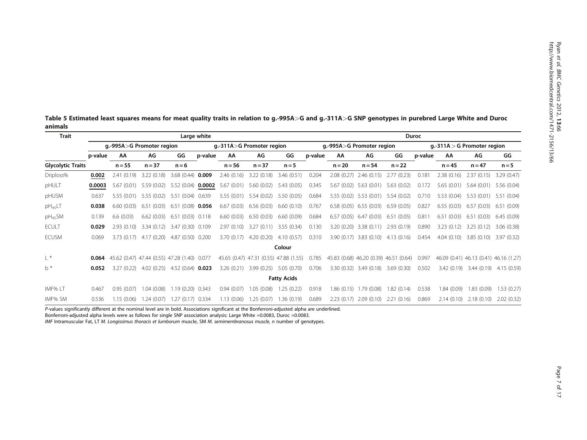| Trait                    |         | Large white                                  |                |                    |         |            | <b>Duroc</b>                           |                    |                           |                                        |                           |            |                               |            |                                        |                         |
|--------------------------|---------|----------------------------------------------|----------------|--------------------|---------|------------|----------------------------------------|--------------------|---------------------------|----------------------------------------|---------------------------|------------|-------------------------------|------------|----------------------------------------|-------------------------|
|                          |         | g.-995A>G Promoter region                    |                |                    |         |            | g.-311A>G Promoter region              |                    | g.-995A>G Promoter region |                                        |                           |            | g.-311A $>$ G Promoter region |            |                                        |                         |
|                          | p-value | АΑ                                           | AG             | GG                 | p-value | AA         | AG                                     | GG                 | p-value                   | AA                                     | AG                        | GG         | p-value                       | AA         | AG                                     | GG                      |
| <b>Glycolytic Traits</b> |         | $n = 55$                                     | $n = 37$       | $n = 6$            |         | $n = 56$   | $n = 37$                               | $n = 5$            |                           | $n = 20$                               | $n = 54$                  | $n = 22$   |                               | $n = 45$   | $n = 47$                               | $n = 5$                 |
| Driploss%                | 0.002   | 2.41(0.19)                                   | 3.22(0.18)     | 3.68(0.44)         | 0.009   | 2.46(0.16) | 3.22(0.18)                             | 3.46(0.51)         | 0.204                     | 2.08(0.27)                             | 2.46(0.15)                | 2.77(0.23) | 0.181                         | 2.38(0.16) | 2.37(0.15)                             | 3.29(0.47)              |
| pHULT                    | 0.0003  | 5.67(0.01)                                   | 5.59(0.02)     | 5.52 (0.04) 0.0002 |         | 5.67(0.01) | 5.60(0.02)                             | 5.43(0.05)         | 0.345                     | 5.67 (0.02)                            | 5.63(0.01)                | 5.63(0.02) | 0.172                         | 5.65(0.01) | 5.64(0.01)                             | 5.56(0.04)              |
| pHUSM                    | 0.637   | 5.55(0.01)                                   | 5.55(0.02)     | 5.51(0.04)         | 0.639   | 5.55(0.01) | 5.54 (0.02)                            | 5.50(0.05)         | 0.684                     |                                        | 5.55 (0.02) 5.53 (0.01)   | 5.54(0.02) | 0.710                         | 5.53(0.04) | 5.53(0.01)                             | 5.51(0.04)              |
| $pH_{45}LT$              | 0.038   | 6.60(0.03)                                   | 6.51<br>(0.03) | 6.51(0.08)         | 0.056   | 6.67(0.03) | 6.56(0.03)                             | 6.60(0.10)         | 0.767                     | 6.58(0.05)                             | 6.55(0.03)                | 6.59(0.05) | 0.827                         | 6.55(0.03) | 6.57(0.03)                             | 6.51(0.09)              |
| $pH_{45}SM$              | 0.139   | 6.6(0.03)                                    | 6.62(0.03)     | 6.51(0.03)         | 0.118   | 6.60(0.03) | 6.50(0.03)                             | 6.60(0.09)         | 0.684                     | 6.57(0.05)                             | 6.47(0.03)                | 6.51(0.05) | 0.811                         | 6.51(0.03) | 6.51(0.03)                             | 6.45(0.09)              |
| <b>ECULT</b>             | 0.029   | 2.93(0.10)                                   | 3.34(0.12)     | 3.47 (0.30) 0.109  |         | 2.97(0.10) | 3.27(0.11)                             | 3.55(0.34)         | 0.130                     |                                        | 3.20 (0.20) 3.38 (0.11)   | 2.93(0.19) | 0.890                         | 3.23(0.12) | 3.25(0.12)                             | 3.06(0.38)              |
| <b>ECUSM</b>             | 0.069   | 3.73(0.17)                                   | 4.17(0.20)     | 4.87 (0.50) 0.200  |         | 3.70(0.17) | 4.20(0.20)                             | 4.10(0.57)         | 0.310                     |                                        | $3.90(0.17)$ $3.83(0.10)$ | 4.13(0.16) | 0.454                         | 4.04(0.10) | 3.85(0.10)                             | 3.97(0.32)              |
|                          |         |                                              |                |                    |         |            |                                        | Colour             |                           |                                        |                           |            |                               |            |                                        |                         |
| $L^*$                    | 0.064   | 45.62 (0.47) 47.44 (0.55) 47.28 (1.40) 0.077 |                |                    |         |            | 45.65 (0.47) 47.31 (0.55) 47.88 (1.55) |                    | 0.785                     | 45.83 (0.68) 46.20 (0.39) 46.51 (0.64) |                           |            | 0.997                         |            | 46.09 (0.41) 46.13 (0.41) 46.16 (1.27) |                         |
| $h^*$                    | 0.052   | 3.27(0.22)                                   | 4.02(0.25)     | 4.52 (0.64) 0.023  |         | 3.26(0.21) | 3.99 (0.25)                            | 5.05 (0.70)        | 0.706                     |                                        | $3.30(0.32)$ $3.49(0.18)$ | 3.69(0.30) | 0.502                         | 3.42(0.19) |                                        | 3.44 (0.19) 4.15 (0.59) |
|                          |         |                                              |                |                    |         |            |                                        | <b>Fatty Acids</b> |                           |                                        |                           |            |                               |            |                                        |                         |
| IMF% LT                  | 0.467   | 0.95(0.07)                                   | 1.04(0.08)     | $1.19(0.20)$ 0.343 |         | 0.94(0.07) | 1.05 (0.08)                            | 1.25(0.22)         | 0.918                     |                                        | 1.86 (0.15) 1.79 (0.08)   | 1.82(0.14) | 0.538                         | 1.84(0.09) | 1.83(0.09)                             | 1.53(0.27)              |
| IMF% SM                  | 0.536   | 1.15(0.06)                                   | 1.24(0.07)     | 1.27 (0.17) 0.334  |         | 1.13(0.06) | 1.25(0.07)                             | 1.36(0.19)         | 0.689                     |                                        | $2.23(0.17)$ $2.09(0.10)$ | 2.21(0.16) | 0.869                         | 2.14(0.10) | 2.18(0.10)                             | 2.02(0.32)              |

<span id="page-6-0"></span>Table 5 Estimated least squares means for meat quality traits in relation to g.-995A>G and g.-311A>G SNP genotypes in purebred Large White and Duroc animals

P-values significantly different at the nominal level are in bold. Associations significant at the Bonferroni-adjusted alpha are underlined. Bonferroni-adjusted alpha levels were as follows for single SNP association analysis: Large White =0.0083, Duroc =0.0083.

IMF Intramuscular Fat, LT M. Longissimus thoracis et lumborum muscle, SM M. semimembranosus muscle, n number of genotypes.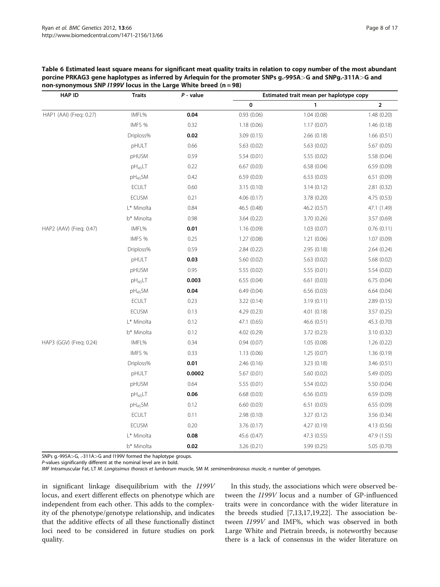| <b>HAP ID</b>           | <b>Traits</b> | $P$ - value |             | Estimated trait mean per haplotype copy |             |
|-------------------------|---------------|-------------|-------------|-----------------------------------------|-------------|
|                         |               |             | 0           | 1                                       | $\mathbf 2$ |
| HAP1 (AAI) (Freg: 0.27) | IMFL%         | 0.04        | 0.93(0.06)  | 1.04(0.08)                              | 1.48 (0.20) |
|                         | IMFS %        | 0.32        | 1.18(0.06)  | 1.17(0.07)                              | 1.46(0.18)  |
|                         | Driploss%     | 0.02        | 3.09(0.15)  | 2.66(0.18)                              | 1.66(0.51)  |
|                         | pHULT         | 0.66        | 5.63(0.02)  | 5.63 (0.02)                             | 5.67 (0.05) |
|                         | pHUSM         | 0.59        | 5.54 (0.01) | 5.55 (0.02)                             | 5.58 (0.04) |
|                         | $pH_{45}LT$   | 0.22        | 6.67(0.03)  | 6.58(0.04)                              | 6.59(0.09)  |
|                         | $pH_{45}SM$   | 0.42        | 6.59 (0.03) | 6.53(0.03)                              | 6.51(0.09)  |
|                         | ECULT         | 0.60        | 3.15(0.10)  | 3.14(0.12)                              | 2.81 (0.32) |
|                         | ECUSM         | 0.21        | 4.06 (0.17) | 3.78 (0.20)                             | 4.75 (0.53) |
|                         | L* Minolta    | 0.84        | 46.5 (0.48) | 46.2 (0.57)                             | 47.1 (1.49) |
|                         | b* Minolta    | 0.98        | 3.64(0.22)  | 3.70 (0.26)                             | 3.57 (0.69) |
| HAP2 (AAV) (Freq: 0.47) | IMFL%         | 0.01        | 1.16(0.09)  | 1.03(0.07)                              | 0.76(0.11)  |
|                         | IMFS %        | 0.25        | 1.27(0.08)  | 1.21(0.06)                              | 1.07(0.09)  |
|                         | Driploss%     | 0.59        | 2.84(0.22)  | 2.95 (0.18)                             | 2.64(0.24)  |
|                         | pHULT         | 0.03        | 5.60 (0.02) | 5.63 (0.02)                             | 5.68 (0.02) |
|                         | pHUSM         | 0.95        | 5.55(0.02)  | 5.55 (0.01)                             | 5.54 (0.02) |
|                         | $pH_{45}LT$   | 0.003       | 6.55(0.04)  | 6.61 (0.03)                             | 6.75(0.04)  |
|                         | $pH_{45}SM$   | 0.04        | 6.49(0.04)  | 6.56(0.03)                              | 6.64(0.04)  |
|                         | ECULT         | 0.23        | 3.22(0.14)  | 3.19(0.11)                              | 2.89(0.15)  |
|                         | <b>ECUSM</b>  | 0.13        | 4.29 (0.23) | 4.01(0.18)                              | 3.57 (0.25) |
|                         | L* Minolta    | 0.12        | 47.1 (0.65) | 46.6 (0.51)                             | 45.3 (0.70) |
|                         | b* Minolta    | 0.12        | 4.02 (0.29) | 3.72 (0.23)                             | 3.10 (0.32) |
| HAP3 (GGV) (Freq: 0.24) | IMFL%         | 0.34        | 0.94(0.07)  | 1.05(0.08)                              | 1.26(0.22)  |
|                         | IMFS %        | 0.33        | 1.13(0.06)  | 1.25(0.07)                              | 1.36(0.19)  |
|                         | Driploss%     | 0.01        | 2.46(0.16)  | 3.23(0.18)                              | 3.46(0.51)  |
|                         | pHULT         | 0.0002      | 5.67(0.01)  | 5.60 (0.02)                             | 5.49 (0.05) |
|                         | pHUSM         | 0.64        | 5.55(0.01)  | 5.54 (0.02)                             | 5.50 (0.04) |
|                         | $pH_{45}LT$   | 0.06        | 6.68(0.03)  | 6.56(0.03)                              | 6.59(0.09)  |
|                         | $pH_{45}SM$   | 0.12        | 6.60(0.03)  | 6.51(0.03)                              | 6.55(0.09)  |
|                         | <b>ECULT</b>  | 0.11        | 2.98(0.10)  | 3.27(0.12)                              | 3.56 (0.34) |
|                         | <b>ECUSM</b>  | 0.20        | 3.76(0.17)  | 4.27(0.19)                              | 4.13(0.56)  |
|                         | L* Minolta    | 0.08        | 45.6 (0.47) | 47.3 (0.55)                             | 47.9 (1.55) |
|                         | b* Minolta    | 0.02        | 3.26(0.21)  | 3.99 (0.25)                             | 5.05 (0.70) |

<span id="page-7-0"></span>Table 6 Estimated least square means for significant meat quality traits in relation to copy number of the most abundant porcine PRKAG3 gene haplotypes as inferred by Arlequin for the promoter SNPs g.-995A>G and SNPg.-311A>G and non-synonymous SNP  $1199V$  locus in the Large White breed (n = 98)

SNPs g.-995A>G, .-311A>G and I199V formed the haplotype groups.

P-values significantly different at the nominal level are in bold.

IMF Intramuscular Fat, LT M. Longissimus thoracis et lumborum muscle, SM M. semimembranosus muscle, n number of genotypes.

in significant linkage disequilibrium with the I199V locus, and exert different effects on phenotype which are independent from each other. This adds to the complexity of the phenotype/genotype relationship, and indicates that the additive effects of all these functionally distinct loci need to be considered in future studies on pork quality.

In this study, the associations which were observed between the I199V locus and a number of GP-influenced traits were in concordance with the wider literature in the breeds studied [[7,](#page-14-0)[13,17,19,22\]](#page-15-0). The association between I199V and IMF%, which was observed in both Large White and Pietrain breeds, is noteworthy because there is a lack of consensus in the wider literature on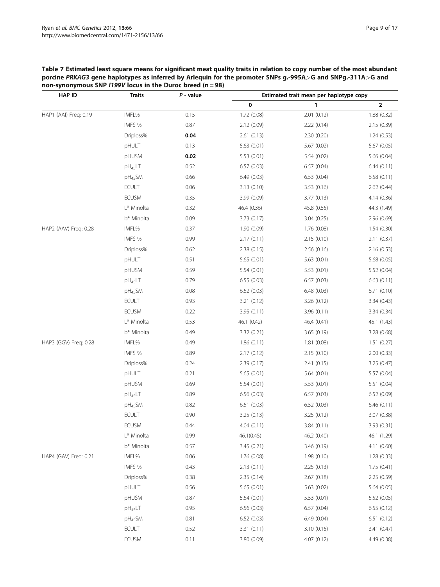<span id="page-8-0"></span>

| Table 7 Estimated least square means for significant meat quality traits in relation to copy number of the most abundant |
|--------------------------------------------------------------------------------------------------------------------------|
| porcine PRKAG3 gene haplotypes as inferred by Arlequin for the promoter SNPs g.-995A>G and SNPg.-311A>G and              |
| non-synonymous SNP $1199V$ locus in the Duroc breed (n = 98)                                                             |

| <b>HAP ID</b>         | <b>Traits</b>       | $P$ - value | Estimated trait mean per haplotype copy |             |              |  |  |
|-----------------------|---------------------|-------------|-----------------------------------------|-------------|--------------|--|--|
|                       |                     |             | $\pmb{0}$                               | 1           | $\mathbf{2}$ |  |  |
| HAP1 (AAI) Freq: 0.19 | IMFL%               | 0.15        | 1.72 (0.08)                             | 2.01(0.12)  | 1.88 (0.32)  |  |  |
|                       | IMFS %              | 0.87        | 2.12 (0.09)                             | 2.22(0.14)  | 2.15 (0.39)  |  |  |
|                       | Driploss%           | 0.04        | 2.61(0.13)                              | 2.30 (0.20) | 1.24(0.53)   |  |  |
|                       | pHULT               | 0.13        | 5.63(0.01)                              | 5.67(0.02)  | 5.67 (0.05)  |  |  |
|                       | pHUSM               | 0.02        | 5.53(0.01)                              | 5.54 (0.02) | 5.66 (0.04)  |  |  |
|                       | $pH_{45}LT$         | 0.52        | 6.57(0.03)                              | 6.57(0.04)  | 6.44(0.11)   |  |  |
|                       | $pH_{45}SM$         | 0.66        | 6.49(0.03)                              | 6.53(0.04)  | 6.58(0.11)   |  |  |
|                       | <b>ECULT</b>        | 0.06        | 3.13(0.10)                              | 3.53 (0.16) | 2.62(0.44)   |  |  |
|                       | <b>ECUSM</b>        | 0.35        | 3.99 (0.09)                             | 3.77(0.13)  | 4.14(0.36)   |  |  |
|                       | L* Minolta          | 0.32        | 46.4 (0.36)                             | 45.8 (0.55) | 44.3 (1.49)  |  |  |
|                       | b* Minolta          | 0.09        | 3.73(0.17)                              | 3.04(0.25)  | 2.96 (0.69)  |  |  |
| HAP2 (AAV) Freq: 0.28 | IMFL%               | 0.37        | 1.90 (0.09)                             | 1.76 (0.08) | 1.54(0.30)   |  |  |
|                       | IMFS %              | 0.99        | 2.17(0.11)                              | 2.15(0.10)  | 2.11(0.37)   |  |  |
|                       | Driploss%           | 0.62        | 2.38 (0.15)                             | 2.56(0.16)  | 2.16(0.53)   |  |  |
|                       | pHULT               | 0.51        | 5.65(0.01)                              | 5.63(0.01)  | 5.68 (0.05)  |  |  |
|                       | pHUSM               | 0.59        | 5.54(0.01)                              | 5.53(0.01)  | 5.52 (0.04)  |  |  |
|                       | pH <sub>45</sub> LT | 0.79        | 6.55(0.03)                              | 6.57(0.03)  | 6.63(0.11)   |  |  |
|                       | $pH_{45}SM$         | 0.08        | 6.52(0.03)                              | 6.48(0.03)  | 6.71(0.10)   |  |  |
|                       | <b>ECULT</b>        | 0.93        | 3.21(0.12)                              | 3.26(0.12)  | 3.34(0.43)   |  |  |
|                       | ECUSM               | 0.22        | 3.95 (0.11)                             | 3.96 (0.11) | 3.34 (0.34)  |  |  |
|                       | L* Minolta          | 0.53        | 46.1 (0.42)                             | 46.4 (0.41) | 45.1 (1.43)  |  |  |
|                       | b* Minolta          | 0.49        | 3.32 (0.21)                             | 3.65(0.19)  | 3.28 (0.68)  |  |  |
| HAP3 (GGV) Freq: 0.28 | IMFL%               | 0.49        | 1.86(0.11)                              | 1.81(0.08)  | 1.51(0.27)   |  |  |
|                       | IMFS %              | 0.89        | 2.17(0.12)                              | 2.15(0.10)  | 2.00(0.33)   |  |  |
|                       | Driploss%           | 0.24        | 2.39(0.17)                              | 2.41(0.15)  | 3.25(0.47)   |  |  |
|                       | pHULT               | 0.21        | 5.65(0.01)                              | 5.64 (0.01) | 5.57 (0.04)  |  |  |
|                       | pHUSM               | 0.69        | 5.54(0.01)                              | 5.53(0.01)  | 5.51(0.04)   |  |  |
|                       | $pH_{45}LT$         | 0.89        | 6.56(0.03)                              | 6.57(0.03)  | 6.52(0.09)   |  |  |
|                       | pH <sub>45</sub> SM | 0.82        | 6.51(0.03)                              | 6.52 (0.03) | 6.46(0.11)   |  |  |
|                       | <b>ECULT</b>        | 0.90        | 3.25 (0.13)                             | 3.25 (0.12) | 3.07 (0.38)  |  |  |
|                       | <b>ECUSM</b>        | 0.44        | 4.04(0.11)                              | 3.84(0.11)  | 3.93 (0.31)  |  |  |
|                       | L* Minolta          | 0.99        | 46.1(0.45)                              | 46.2 (0.40) | 46.1 (1.29)  |  |  |
|                       | b* Minolta          | 0.57        | 3.45 (0.21)                             | 3.46 (0.19) | 4.11(0.60)   |  |  |
| HAP4 (GAV) Freq: 0.21 | IMFL%               | 0.06        | 1.76(0.08)                              | 1.98(0.10)  | 1.28(0.33)   |  |  |
|                       | IMFS %              | 0.43        | 2.13(0.11)                              | 2.25(0.13)  | 1.75(0.41)   |  |  |
|                       | Driploss%           | 0.38        | 2.35(0.14)                              | 2.67(0.18)  | 2.25(0.59)   |  |  |
|                       | pHULT               | 0.56        | 5.65(0.01)                              | 5.63(0.02)  | 5.64(0.05)   |  |  |
|                       | pHUSM               | 0.87        | 5.54 (0.01)                             | 5.53 (0.01) | 5.52 (0.05)  |  |  |
|                       | $pH_{45}LT$         | 0.95        | 6.56(0.03)                              | 6.57(0.04)  | 6.55(0.12)   |  |  |
|                       | $pH_{45}SM$         | 0.81        | 6.52(0.03)                              | 6.49(0.04)  | 6.51(0.12)   |  |  |
|                       | <b>ECULT</b>        | 0.52        | 3.31 (0.11)                             | 3.10(0.15)  | 3.41 (0.47)  |  |  |
|                       | <b>ECUSM</b>        | 0.11        | 3.80 (0.09)                             | 4.07(0.12)  | 4.49 (0.38)  |  |  |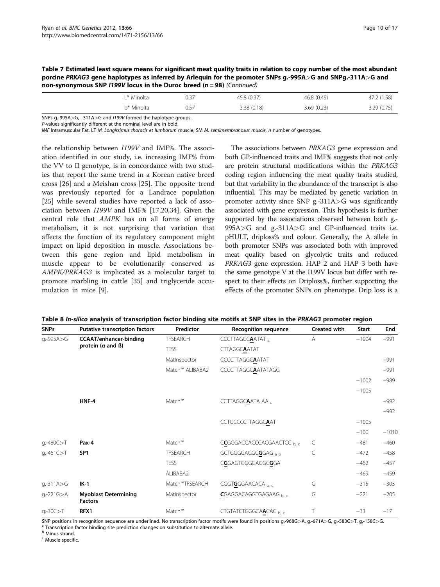| non-synonymous SNP /199V locus in the Duroc breed (n = 98) (Continued) |  |             |             |             |  |  |  |  |  |  |  |  |
|------------------------------------------------------------------------|--|-------------|-------------|-------------|--|--|--|--|--|--|--|--|
| l * Minolta .                                                          |  | 45.8 (0.37) | 46.8 (0.49) | 47.2 (1.58) |  |  |  |  |  |  |  |  |

b\* Minolta 0.57 3.38 (0.18) 3.69 (0.23) 3.29 (0.75)

<span id="page-9-0"></span>

| Table 7 Estimated least square means for significant meat quality traits in relation to copy number of the most abundant |  |
|--------------------------------------------------------------------------------------------------------------------------|--|
| porcine PRKAG3 gene haplotypes as inferred by Arlequin for the promoter SNPs g.-995A>G and SNPg.-311A>G and              |  |
| non-synonymous SNP $1199V$ locus in the Duroc breed (n = 98) (Continued)                                                 |  |

SNPs g.-995A>G, .-311A>G and I199V formed the haplotype groups.

P-values significantly different at the nominal level are in bold.

IMF Intramuscular Fat, LT M. Longissimus thoracis et lumborum muscle, SM M. semimembranosus muscle, n number of genotypes.

the relationship between I199V and IMF%. The association identified in our study, i.e. increasing IMF% from the VV to II genotype, is in concordance with two studies that report the same trend in a Korean native breed cross [[26\]](#page-15-0) and a Meishan cross [[25\]](#page-15-0). The opposite trend was previously reported for a Landrace population [[25\]](#page-15-0) while several studies have reported a lack of association between I199V and IMF% [[17,20,34\]](#page-15-0). Given the central role that AMPK has on all forms of energy metabolism, it is not surprising that variation that affects the function of its regulatory component might impact on lipid deposition in muscle. Associations between this gene region and lipid metabolism in muscle appear to be evolutionarily conserved as AMPK/PRKAG3 is implicated as a molecular target to promote marbling in cattle [\[35](#page-15-0)] and triglyceride accumulation in mice [[9\]](#page-14-0).

The associations between PRKAG3 gene expression and both GP-influenced traits and IMF% suggests that not only are protein structural modifications within the PRKAG3 coding region influencing the meat quality traits studied, but that variability in the abundance of the transcript is also influential. This may be mediated by genetic variation in promoter activity since SNP g.-311A>G was significantly associated with gene expression. This hypothesis is further supported by the associations observed between both g.-995A>G and g.-311A>G and GP-influenced traits i.e. pHULT, driploss% and colour. Generally, the A allele in both promoter SNPs was associated both with improved meat quality based on glycolytic traits and reduced PRKAG3 gene expression. HAP 2 and HAP 3 both have the same genotype V at the I199V locus but differ with respect to their effects on Driploss%, further supporting the effects of the promoter SNPs on phenotype. Drip loss is a

| <b>SNPs</b>   | <b>Putative transcription factors</b>         | Predictor       | <b>Recognition sequence</b>           | <b>Created with</b> | <b>Start</b> | End     |
|---------------|-----------------------------------------------|-----------------|---------------------------------------|---------------------|--------------|---------|
| g.-995A>G     | <b>CCAAT/enhancer-binding</b>                 | <b>TFSEARCH</b> | CCCTTAGGCAATAT,                       | A                   | $-1004$      | $-991$  |
|               | protein $(a \text{ and } B)$                  | <b>TESS</b>     | <b>CTTAGGCAATAT</b>                   |                     |              |         |
|               |                                               | MatInspector    | <b>CCCCTTAGGCAATAT</b>                |                     |              | $-991$  |
|               |                                               | Match™ ALIBABA2 | <b>CCCCTTAGGCAATATAGG</b>             |                     |              | $-991$  |
|               |                                               |                 |                                       |                     | $-1002$      | $-989$  |
|               |                                               |                 |                                       |                     | $-1005$      |         |
|               | HNF-4                                         | Match™          | CCTTAGGCAATA AA                       |                     |              | $-992$  |
|               |                                               |                 |                                       |                     |              | $-992$  |
|               |                                               |                 | <b>CCTGCCCCTTAGGCAAT</b>              |                     | $-1005$      |         |
|               |                                               |                 |                                       |                     | $-100$       | $-1010$ |
| $q.-480C > T$ | Pax-4                                         | Match™          | CCGGGACCACCCACGAACTCC b.c             | C                   | $-481$       | $-460$  |
| $q.-461C > T$ | SP <sub>1</sub>                               | <b>TFSEARCH</b> | GCTGGGGAGGCGGAG a b                   | С                   | $-472$       | $-458$  |
|               |                                               | <b>TESS</b>     | CGGAGTGGGGAGGCGGA                     |                     | $-462$       | $-457$  |
|               |                                               | ALIBABA2        |                                       |                     | $-469$       | $-459$  |
| $q.-311A > G$ | $IK-1$                                        | Match™TFSEARCH  | CGGT <b>G</b> GGAACACA <sub>a.c</sub> | G                   | $-315$       | $-303$  |
| g.-221G>A     | <b>Myoblast Determining</b><br><b>Factors</b> | MatInspector    | CGAGGACAGGTGAGAAG b.c                 | G                   | $-221$       | $-205$  |
| $q.-30C>T$    | RFX1                                          | Match™          | CTGTATCTGGGCAACAC b, c                | Т                   | $-33$        | $-17$   |

Table 8 In-silico analysis of transcription factor binding site motifs at SNP sites in the PRKAG3 promoter region

SNP positions in recognition sequence are underlined. No transcription factor motifs were found in positions g.-968G>A, g.-671A>G, g.-583C>T, g.-158C>G.<br><sup>a</sup> Transcription factor binding site prediction changes on substitu

**b** Minus strand.

<sup>c</sup> Muscle specific.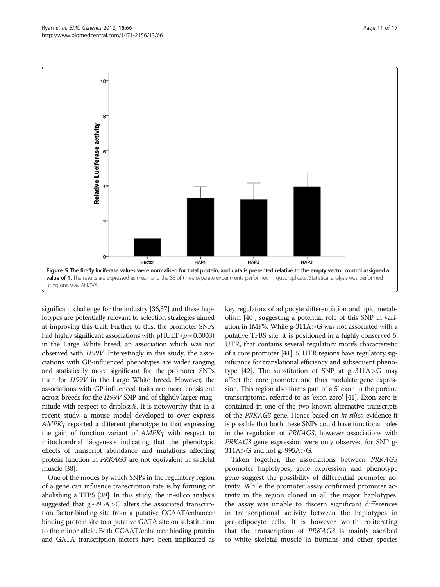<span id="page-10-0"></span>

significant challenge for the industry [[36,37](#page-15-0)] and these haplotypes are potentially relevant to selection strategies aimed at improving this trait. Further to this, the promoter SNPs had highly significant associations with pHULT ( $p = 0.0003$ ) in the Large White breed, an association which was not observed with I199V. Interestingly in this study, the associations with GP-influenced phenotypes are wider ranging and statistically more significant for the promoter SNPs than for I199V in the Large White breed. However, the associations with GP-influenced traits are more consistent across breeds for the I199V SNP and of slightly larger magnitude with respect to driploss%. It is noteworthy that in a recent study, a mouse model developed to over express AMPK<sup>γ</sup> reported a different phenotype to that expressing the gain of function variant of AMPK<sup>γ</sup> with respect to mitochondrial biogenesis indicating that the phenotypic effects of transcript abundance and mutations affecting protein function in PRKAG3 are not equivalent in skeletal muscle [[38](#page-15-0)].

One of the modes by which SNPs in the regulatory region of a gene can influence transcription rate is by forming or abolishing a TFBS [[39](#page-15-0)]. In this study, the in-silico analysis suggested that g.-995A>G alters the associated transcription factor-binding site from a putative CCAAT/enhancer binding protein site to a putative GATA site on substitution to the minor allele. Both CCAAT/enhancer binding protein and GATA transcription factors have been implicated as

key regulators of adipocyte differentiation and lipid metabolism [[40](#page-15-0)], suggesting a potential role of this SNP in variation in IMF%. While g-311A>G was not associated with a putative TFBS site, it is positioned in a highly conserved 5' UTR, that contains several regulatory motifs characteristic of a core promoter [[41\]](#page-15-0). 5' UTR regions have regulatory significance for translational efficiency and subsequent pheno-type [[42](#page-15-0)]. The substitution of SNP at g.-311A $>$ G may affect the core promoter and thus modulate gene expression. This region also forms part of a 5' exon in the porcine transcriptome, referred to as 'exon zero' [\[41](#page-15-0)]. Exon zero is contained in one of the two known alternative transcripts of the PRKAG3 gene. Hence based on in silico evidence it is possible that both these SNPs could have functional roles in the regulation of PRKAG3, however associations with PRKAG3 gene expression were only observed for SNP g-311A>G and not g.-995A>G.

Taken together, the associations between PRKAG3 promoter haplotypes, gene expression and phenotype gene suggest the possibility of differential promoter activity. While the promoter assay confirmed promoter activity in the region cloned in all the major haplotypes, the assay was unable to discern significant differences in transcriptional activity between the haplotypes in pre-adipocyte cells. It is however worth re-iterating that the transcription of PRKAG3 is mainly ascribed to white skeletal muscle in humans and other species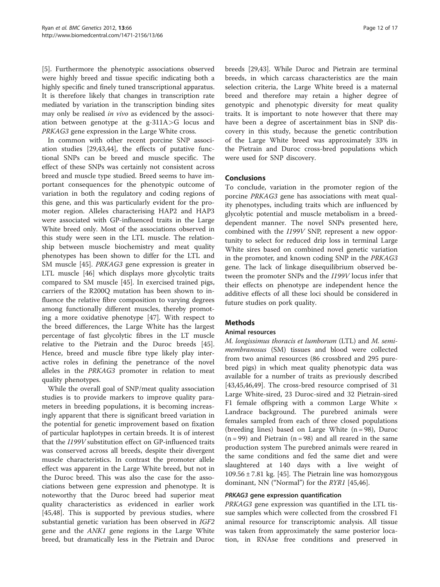[[5\]](#page-14-0). Furthermore the phenotypic associations observed were highly breed and tissue specific indicating both a highly specific and finely tuned transcriptional apparatus. It is therefore likely that changes in transcription rate mediated by variation in the transcription binding sites may only be realised in vivo as evidenced by the association between genotype at the g-311A>G locus and PRKAG3 gene expression in the Large White cross.

In common with other recent porcine SNP association studies [[29](#page-15-0),[43](#page-15-0),[44](#page-15-0)], the effects of putative functional SNPs can be breed and muscle specific. The effect of these SNPs was certainly not consistent across breed and muscle type studied. Breed seems to have important consequences for the phenotypic outcome of variation in both the regulatory and coding regions of this gene, and this was particularly evident for the promoter region. Alleles characterising HAP2 and HAP3 were associated with GP-influenced traits in the Large White breed only. Most of the associations observed in this study were seen in the LTL muscle. The relationship between muscle biochemistry and meat quality phenotypes has been shown to differ for the LTL and SM muscle [\[45](#page-15-0)]. PRKAG3 gene expression is greater in LTL muscle [\[46](#page-15-0)] which displays more glycolytic traits compared to SM muscle [[45](#page-15-0)]. In exercised trained pigs, carriers of the R200Q mutation has been shown to influence the relative fibre composition to varying degrees among functionally different muscles, thereby promoting a more oxidative phenotype [\[47](#page-15-0)]. With respect to the breed differences, the Large White has the largest percentage of fast glycolytic fibres in the LT muscle relative to the Pietrain and the Duroc breeds [\[45](#page-15-0)]. Hence, breed and muscle fibre type likely play interactive roles in defining the penetrance of the novel alleles in the PRKAG3 promoter in relation to meat quality phenotypes.

While the overall goal of SNP/meat quality association studies is to provide markers to improve quality parameters in breeding populations, it is becoming increasingly apparent that there is significant breed variation in the potential for genetic improvement based on fixation of particular haplotypes in certain breeds. It is of interest that the I199V substitution effect on GP-influenced traits was conserved across all breeds, despite their divergent muscle characteristics. In contrast the promoter allele effect was apparent in the Large White breed, but not in the Duroc breed. This was also the case for the associations between gene expression and phenotype. It is noteworthy that the Duroc breed had superior meat quality characteristics as evidenced in earlier work [[45,48\]](#page-15-0). This is supported by previous studies, where substantial genetic variation has been observed in IGF2 gene and the ANK1 gene regions in the Large White breed, but dramatically less in the Pietrain and Duroc

breeds [\[29,43\]](#page-15-0). While Duroc and Pietrain are terminal breeds, in which carcass characteristics are the main selection criteria, the Large White breed is a maternal breed and therefore may retain a higher degree of genotypic and phenotypic diversity for meat quality traits. It is important to note however that there may have been a degree of ascertainment bias in SNP discovery in this study, because the genetic contribution of the Large White breed was approximately 33% in the Pietrain and Duroc cross-bred populations which were used for SNP discovery.

## Conclusions

To conclude, variation in the promoter region of the porcine PRKAG3 gene has associations with meat quality phenotypes, including traits which are influenced by glycolytic potential and muscle metabolism in a breeddependent manner. The novel SNPs presented here, combined with the I199V SNP, represent a new opportunity to select for reduced drip loss in terminal Large White sires based on combined novel genetic variation in the promoter, and known coding SNP in the PRKAG3 gene. The lack of linkage disequilibrium observed between the promoter SNPs and the I199V locus infer that their effects on phenotype are independent hence the additive effects of all these loci should be considered in future studies on pork quality.

## **Methods**

#### Animal resources

M. longissimus thoracis et lumborum (LTL) and M. semimembranosus (SM) tissues and blood were collected from two animal resources (86 crossbred and 295 purebred pigs) in which meat quality phenotypic data was available for a number of traits as previously described [[43,45,46,49\]](#page-15-0). The cross-bred resource comprised of 31 Large White-sired, 23 Duroc-sired and 32 Pietrain-sired F1 female offspring with a common Large White  $\times$ Landrace background. The purebred animals were females sampled from each of three closed populations (breeding lines) based on Large White  $(n = 98)$ , Duroc  $(n = 99)$  and Pietrain  $(n = 98)$  and all reared in the same production system The purebred animals were reared in the same conditions and fed the same diet and were slaughtered at 140 days with a live weight of 109.56 ± 7.81 kg. [\[45](#page-15-0)]. The Pietrain line was homozygous dominant, NN ("Normal") for the RYR1 [[45,46](#page-15-0)].

## PRKAG3 gene expression quantification

PRKAG3 gene expression was quantified in the LTL tissue samples which were collected from the crossbred F1 animal resource for transcriptomic analysis. All tissue was taken from approximately the same posterior location, in RNAse free conditions and preserved in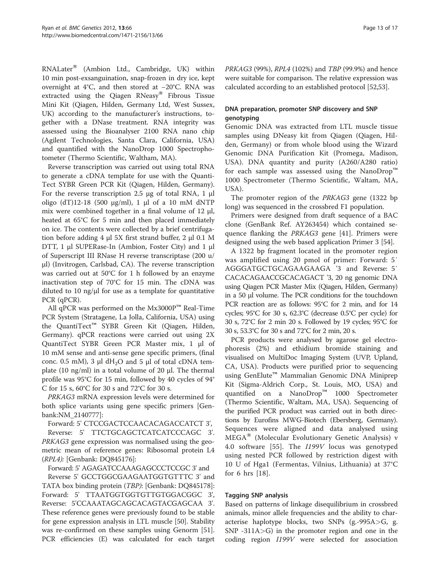$RNALater^{\circledR}$  (Ambion Ltd., Cambridge, UK) within 10 min post-exsanguination, snap-frozen in dry ice, kept overnight at 4°C, and then stored at −20°C. RNA was extracted using the Qiagen RNeasy® Fibrous Tissue Mini Kit (Qiagen, Hilden, Germany Ltd, West Sussex, UK) according to the manufacturer's instructions, together with a DNase treatment. RNA integrity was assessed using the Bioanalyser 2100 RNA nano chip (Agilent Technologies, Santa Clara, California, USA) and quantified with the NanoDrop 1000 Spectrophotometer (Thermo Scientific, Waltham, MA).

Reverse transcription was carried out using total RNA to generate a cDNA template for use with the Quanti-Tect SYBR Green PCR Kit (Qiagen, Hilden, Germany). For the reverse transcription 2.5 μg of total RNA, 1 μl oligo (dT)12-18 (500 μg/ml), 1 μl of a 10 mM dNTP mix were combined together in a final volume of 12 μl, heated at 65°C for 5 min and then placed immediately on ice. The contents were collected by a brief centrifugation before adding 4 μl 5X first strand buffer, 2 μl 0.1 M DTT, 1 μl SUPERase-In (Ambion, Foster City) and 1 μl of Superscript III RNase H reverse transcriptase (200 u/ μl) (Invitrogen, Carlsbad, CA). The reverse transcription was carried out at 50°C for 1 h followed by an enzyme inactivation step of 70°C for 15 min. The cDNA was diluted to 10 ng/μl for use as a template for quantitative PCR (qPCR).

All qPCR was performed on the Mx3000P™ Real-Time PCR System (Stratagene, La Jolla, California, USA) using the QuantiTect™ SYBR Green Kit (Qiagen, Hilden, Germany). qPCR reactions were carried out using 2X QuantiTect SYBR Green PCR Master mix, 1 μl of 10 mM sense and anti-sense gene specific primers, (final conc. 0.5 mM), 3  $\mu$ l dH<sub>2</sub>O and 5  $\mu$ l of total cDNA template (10 ng/ml) in a total volume of 20 μl. The thermal profile was 95°C for 15 min, followed by 40 cycles of 94° C for 15 s, 60°C for 30 s and 72°C for 30 s.

PRKAG3 mRNA expression levels were determined for both splice variants using gene specific primers [Genbank:NM\_2140777]:

Forward: 5' CTCCGACTCCAACACAGACCATCT 3', Reverse: 5' TTCTGCAGCTCATCATCCCAGC 3'. PRKAG3 gene expression was normalised using the geometric mean of reference genes: Ribosomal protein L4 (RPL4): [Genbank: DQ845176]:

Forward: 5' AGAGATCCAAAGAGCCCTCCGC 3' and

Reverse 5' GCCTGGCGAAGAATGGTGTTTC 3' and TATA box binding protein (TBP): [Genbank: DQ845178]: Forward: 5' TTAATGGTGGTGTTGTGGACGGC 3', Reverse: 5'CCAAATAGCAGCACAGTACGAGCAA 3'. These reference genes were previously found to be stable for gene expression analysis in LTL muscle [[50](#page-15-0)]. Stability was re-confirmed on these samples using Genorm [[51](#page-15-0)]. PCR efficiencies (E) was calculated for each target PRKAG3 (99%), RPL4 (102%) and TBP (99.9%) and hence were suitable for comparison. The relative expression was calculated according to an established protocol [\[52,53\]](#page-16-0).

## DNA preparation, promoter SNP discovery and SNP genotyping

Genomic DNA was extracted from LTL muscle tissue samples using DNeasy kit from Qiagen (Qiagen, Hilden, Germany) or from whole blood using the Wizard Genomic DNA Purification Kit (Promega, Madison, USA). DNA quantity and purity (A260/A280 ratio) for each sample was assessed using the NanoDrop™ 1000 Spectrometer (Thermo Scientific, Waltam, MA, USA).

The promoter region of the PRKAG3 gene (1322 bp long) was sequenced in the crossbred F1 population.

Primers were designed from draft sequence of a BAC clone (GenBank Ref. AY263454) which contained se-quence flanking the PRKAG3 gene [[41](#page-15-0)]. Primers were designed using the web based application Primer 3 [\[54\]](#page-16-0).

A 1322 bp fragment located in the promoter region was amplified using 20 pmol of primer: Forward: 5′ AGGGATGCTGCAGAAGAAGA '3 and Reverse: 5′ CACACAGAACCGCACAGACT '3, 20 ng genomic DNA using Qiagen PCR Master Mix (Qiagen, Hilden, Germany) in a 50 μl volume. The PCR conditions for the touchdown PCR reaction are as follows: 95°C for 2 min, and for 14 cycles; 95°C for 30 s, 62.3°C (decrease 0.5°C per cycle) for 30 s, 72°C for 2 min 20 s. Followed by 19 cycles; 95°C for 30 s, 53.3°C for 30 s and 72°C for 2 min, 20 s.

PCR products were analysed by agarose gel electrophoresis (2%) and ethidium bromide staining and visualised on MultiDoc Imaging System (UVP, Upland, CA, USA). Products were purified prior to sequencing using GenElute<sup>™</sup> Mammalian Genomic DNA Miniprep Kit (Sigma-Aldrich Corp., St. Louis, MO, USA) and quantified on a NanoDrop™ 1000 Spectrometer (Thermo Scientific, Waltam, MA, USA). Sequencing of the purified PCR product was carried out in both directions by Eurofins MWG-Biotech (Ebersberg, Germany). Sequences were aligned and data analysed using MEGA<sup>®</sup> (Molecular Evolutionary Genetic Analysis) v 4.0 software [[55\]](#page-16-0). The I199V locus was genotyped using nested PCR followed by restriction digest with 10 U of Hga1 (Fermentas, Vilnius, Lithuania) at 37°C for 6 hrs [\[18](#page-15-0)].

## Tagging SNP analysis

Based on patterns of linkage disequilibrium in crossbred animals, minor allele frequencies and the ability to characterise haplotype blocks, two SNPs (g.-995A>G, g.  $SNP -311A > G$ ) in the promoter region and one in the coding region I199V were selected for association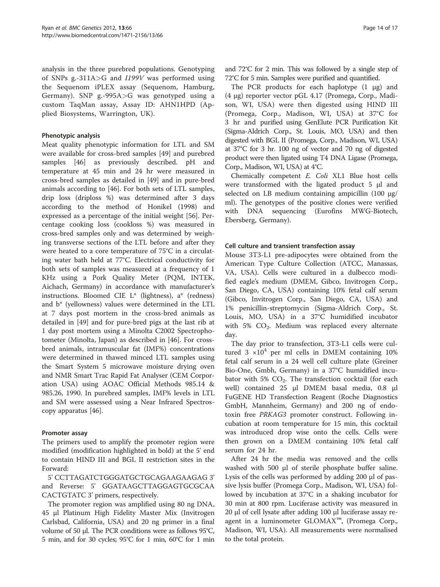analysis in the three purebred populations. Genotyping of SNPs g.-311A>G and I199V was performed using the Sequenom iPLEX assay (Sequenom, Hamburg, Germany). SNP g.-995A>G was genotyped using a custom TaqMan assay, Assay ID: AHN1HPD (Applied Biosystems, Warrington, UK).

## Phenotypic analysis

Meat quality phenotypic information for LTL and SM were available for cross-bred samples [\[49](#page-15-0)] and purebred samples [\[46](#page-15-0)] as previously described. pH and temperature at 45 min and 24 hr were measured in cross-bred samples as detailed in [\[49](#page-15-0)] and in pure-bred animals according to [[46\]](#page-15-0). For both sets of LTL samples, drip loss (driploss %) was determined after 3 days according to the method of Honikel (1998) and expressed as a percentage of the initial weight [[56\]](#page-16-0). Percentage cooking loss (cookloss %) was measured in cross-bred samples only and was determined by weighing transverse sections of the LTL before and after they were heated to a core temperature of 75°C in a circulating water bath held at 77°C. Electrical conductivity for both sets of samples was measured at a frequency of 1 KHz using a Pork Quality Meter (PQM, INTEK, Aichach, Germany) in accordance with manufacturer's instructions. Bloomed CIE L\* (lightness), a\* (redness) and b\* (yellowness) values were determined in the LTL at 7 days post mortem in the cross-bred animals as detailed in [\[49](#page-15-0)] and for pure-bred pigs at the last rib at 1 day post mortem using a Minolta C2002 Spectrophotometer (Minolta, Japan) as described in [\[46](#page-15-0)]. For crossbred animals, intramuscular fat (IMF%) concentrations were determined in thawed minced LTL samples using the Smart System 5 microwave moisture drying oven and NMR Smart Trac Rapid Fat Analyser (CEM Corporation USA) using AOAC Official Methods 985.14 & 985.26, 1990. In purebred samples, IMF% levels in LTL and SM were assessed using a Near Infrared Spectroscopy apparatus [\[46](#page-15-0)].

#### Promoter assay

The primers used to amplify the promoter region were modified (modification highlighted in bold) at the 5' end to contain HIND III and BGL II restriction sites in the Forward:

5' CCTTAGATCTGGGATGCTGCAGAAGAAGAG 3' and Reverse: 5' GGATAAGCTTAGGAGTGCGCAA CACTGTATC 3' primers, respectively.

The promoter region was amplified using 80 ng DNA, 45 μl Platinum High Fidelity Master Mix (Invitrogen Carlsbad, California, USA) and 20 ng primer in a final volume of 50 μl. The PCR conditions were as follows 95°C, 5 min, and for 30 cycles; 95°C for 1 min, 60°C for 1 min

and 72°C for 2 min. This was followed by a single step of 72°C for 5 min. Samples were purified and quantified.

The PCR products for each haplotype (1 μg) and (4 μg) reporter vector pGL 4.17 (Promega, Corp., Madison, WI, USA) were then digested using HIND III (Promega, Corp., Madison, WI, USA) at 37°C for 3 hr and purified using GenElute PCR Purification Kit (Sigma-Aldrich Corp., St. Louis, MO, USA) and then digested with BGL II (Promega, Corp., Madison, WI, USA) at 37°C for 3 hr. 100 ng of vector and 70 ng of digested product were then ligated using T4 DNA Ligase (Promega, Corp., Madison, WI, USA) at 4°C.

Chemically competent E. Coli XL1 Blue host cells were transformed with the ligated product 5 μl and selected on LB medium containing ampicillin (100 μg/ ml). The genotypes of the positive clones were verified with DNA sequencing (Eurofins MWG-Biotech, Ebersberg, Germany).

## Cell culture and transient transfection assay

Mouse 3T3-L1 pre-adipocytes were obtained from the American Type Culture Collection (ATCC, Manassas, VA, USA). Cells were cultured in a dulbecco modified eagle's medium (DMEM, Gibco, Invitrogen Corp., San Diego, CA, USA) containing 10% fetal calf serum (Gibco, Invitrogen Corp., San Diego, CA, USA) and 1% penicillin-streptomycin (Sigma-Aldrich Corp., St. Louis, MO, USA) in a 37°C humidified incubator with 5%  $CO<sub>2</sub>$ . Medium was replaced every alternate day.

The day prior to transfection, 3T3-L1 cells were cultured  $3 \times 10^4$  per ml cells in DMEM containing 10% fetal calf serum in a 24 well cell culture plate (Greiner Bio-One, Gmbh, Germany) in a 37°C humidified incubator with 5%  $CO<sub>2</sub>$ . The transfection cocktail (for each well) contained 25 μl DMEM basal media, 0.8 μl FuGENE HD Transfection Reagent (Roche Diagnostics GmbH, Mannheim, Germany) and 200 ng of endotoxin free PRKAG3 promoter construct. Following incubation at room temperature for 15 min, this cocktail was introduced drop wise onto the cells. Cells were then grown on a DMEM containing 10% fetal calf serum for 24 hr.

After 24 hr the media was removed and the cells washed with 500 μl of sterile phosphate buffer saline. Lysis of the cells was performed by adding 200 μl of passive lysis buffer (Promega Corp., Madison, WI, USA) followed by incubation at 37°C in a shaking incubator for 30 min at 800 rpm. Luciferase activity was measured in 20 μl of cell lysate after adding 100 μl luciferase assay reagent in a luminometer GLOMAX™, (Promega Corp., Madison, WI, USA). All measurements were normalised to the total protein.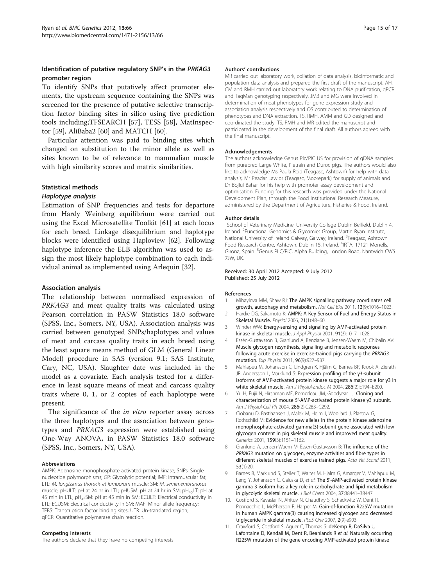## <span id="page-14-0"></span>Identification of putative regulatory SNP's in the PRKAG3 promoter region

To identify SNPs that putatively affect promoter elements, the upstream sequence containing the SNPs was screened for the presence of putative selective transcription factor binding sites in silico using five prediction tools including;TFSEARCH [\[57\]](#page-16-0), TESS [[58\]](#page-16-0), MatInspector [[59\]](#page-16-0), AliBaba2 [[60\]](#page-16-0) and MATCH [[60\]](#page-16-0).

Particular attention was paid to binding sites which changed on substitution to the minor allele as well as sites known to be of relevance to mammalian muscle with high similarity scores and matrix similarities.

#### Statistical methods

## Haplotype analysis

Estimation of SNP frequencies and tests for departure from Hardy Weinberg equilibrium were carried out using the Excel Microsatellite Toolkit [\[61](#page-16-0)] at each locus for each breed. Linkage disequilibrium and haplotype blocks were identified using Haploview [[62\]](#page-16-0). Following haplotype inference the ELB algorithm was used to assign the most likely haplotype combination to each individual animal as implemented using Arlequin [32].

#### Association analysis

The relationship between normalised expression of PRKAG3 and meat quality traits was calculated using Pearson correlation in PASW Statistics 18.0 software (SPSS, Inc., Somers, NY, USA). Association analysis was carried between genotyped SNPs/haplotypes and values of meat and carcass quality traits in each breed using the least square means method of GLM (General Linear Model) procedure in SAS (version 9.1; SAS Institute, Cary, NC, USA). Slaughter date was included in the model as a covariate. Each analysis tested for a difference in least square means of meat and carcass quality traits where 0, 1, or 2 copies of each haplotype were present.

The significance of the *in vitro* reporter assay across the three haplotypes and the association between genotypes and PRKAG3 expression were established using One-Way ANOVA, in PASW Statistics 18.0 software (SPSS, Inc., Somers, NY, USA).

#### Abbreviations

AMPK: Adenosine monophosphate activated protein kinase; SNPs: Single nucleotide polymorphisms; GP: Glycolytic potential; IMF: Intramuscular fat; LTL: M. longissmus thoracis et lumborum muscle; SM: M. semimembranosus muscle; pHULT: pH at 24 hr in LTL; pHUSM: pH at 24 hr in SM; pH<sub>45</sub>LT: pH at 45 min in LTL; pH<sub>45</sub>SM: pH at 45 min in SM; ECULT: Electrical conductivity in LTL; ECUSM: Electrical conductivity in SM; MAF: Minor allele frequency; TFBS: Transcription factor binding sites; UTR: Un-translated region; qPCR: Quantitative polymerase chain reaction.

#### Competing interests

The authors declare that they have no competing interests.

#### Authors' contributions

MR carried out laboratory work, collation of data analysis, bioinformatic and population data analysis and prepared the first draft of the manuscript. AH, CM and RMH carried out laboratory work relating to DNA purification, qPCR and TaqMan genotyping respectively. JMB and MG were involved in determination of meat phenotypes for gene expression study and association analysis respectively and OS contributed to determination of phenotypes and DNA extraction. TS, RMH, AMM and GD designed and coordinated the study. TS, RMH and MR edited the manuscript and participated in the development of the final draft. All authors agreed with the final manuscript.

#### Acknowledgements

The authors acknowledge Genus Plc/PIC US for provision of gDNA samples from purebred Large White, Pietrain and Duroc pigs. The authors would also like to acknowledge Ms Paula Reid (Teagasc, Ashtown) for help with data analysis, Mr Peadar Lawlor (Teagasc, Moorepark) for supply of animals and Dr Bojlul Bahar for his help with promoter assay development and optimisation. Funding for this research was provided under the National Development Plan, through the Food Institutional Research Measure, administered by the Department of Agriculture, Fisheries & Food, Ireland.

#### Author details

<sup>1</sup>School of Veterinary Medicine, University College Dublin Belfield, Dublin 4 Ireland. <sup>2</sup>Functional Genomics & Glycomics Group, Martin Ryan Institute, National University of Ireland Galway, Galway, Ireland. <sup>3</sup>Teagasc, Ashtown Food Research Centre, Ashtown, Dublin 15, Ireland. <sup>4</sup>IRTA, 17121 Monells, Girona, Spain. <sup>5</sup>Genus PLC/PIC, Alpha Building, London Road, Nantwich CW5 7JW, UK.

Received: 30 April 2012 Accepted: 9 July 2012 Published: 25 July 2012

#### References

- Mihaylova MM, Shaw RJ: The AMPK signalling pathway coordinates cell growth, autophagy and metabolism. Nat Cell Biol 2011, 13(9):1016–1023.
- 2. Hardie DG, Sakamoto K: AMPK: A Key Sensor of Fuel and Energy Status in Skeletal Muscle. Physiol 2006, 21(1):48–60.
- 3. Winder WW: Energy-sensing and signaling by AMP-activated protein kinase in skeletal muscle. J Appl Physiol 2001, 91(3):1017–1028.
- 4. Essén-Gustavsson B, Granlund A, Benziane B, Jensen-Waern M, Chibalin AV: Muscle glycogen resynthesis, signalling and metabolic responses following acute exercise in exercise-trained pigs carrying the PRKAG3 mutation. Exp Physiol 2011, 96(9):927–937.
- 5. Mahlapuu M, Johansson C, Lindgren K, Hjälm G, Barnes BR, Krook A, Zierath JR, Andersson L, Marklund S: Expression profiling of the γ3-subunit isoforms of AMP-activated protein kinase suggests a major role for γ3 in white skeletal muscle. Am J Physiol-Endoc M 2004, 286(2):E194–E200.
- 6. Yu H, Fujii N, Hirshman MF, Pomerleau JM, Goodyear LJ: Cloning and characterization of mouse 5'-AMP-activated protein kinase γ3 subunit. Am J Physiol-Cell Ph 2004, 286(2):C283–C292.
- 7. Ciobanu D, Bastiaansen J, Malek M, Helm J, Woollard J, Plastow G, Rothschild M: Evidence for new alleles in the protein kinase adenosine monophosphate-activated gamma(3)-subunit gene associated with low glycogen content in pig skeletal muscle and improved meat quality. Genetics 2001, 159(3):1151–1162.
- 8. Granlund A, Jensen-Waern M, Essen-Gustavsson B: The influence of the PRKAG3 mutation on glycogen, enzyme activities and fibre types in different skeletal muscles of exercise trained pigs. Acta Vet Scand 2011, 53(1):20.
- 9. Barnes B, Marklund S, Steiler T, Walter M, Hjalm G, Amarger V, Mahlapuu M, Leng Y, Johansson C, Galuska D, et al: The 5'-AMP-activated protein kinase gamma 3 isoform has a key role in carbohydrate and lipid metabolism in glycolytic skeletal muscle. J Biol Chem 2004, 37:38441–38447.
- 10. Costford S, Kavaslar N, Ahituv N, Chaudhry S, Schackwitz W, Dent R, Pennacchio L, McPherson R, Harper M: Gain-of-function R225W mutation in human AMPK gamma(3) causing increased glycogen and decreased triglyceride in skeletal muscle. PLoS One 2007, 2(9):e903.
- 11. Crawford S, Costford S, Aguer C, Thomas S: deKemp R, DaSilva J, Lafontaine D, Kendall M, Dent R, Beanlands R et al: Naturally occurring R225W mutation of the gene encoding AMP-activated protein kinase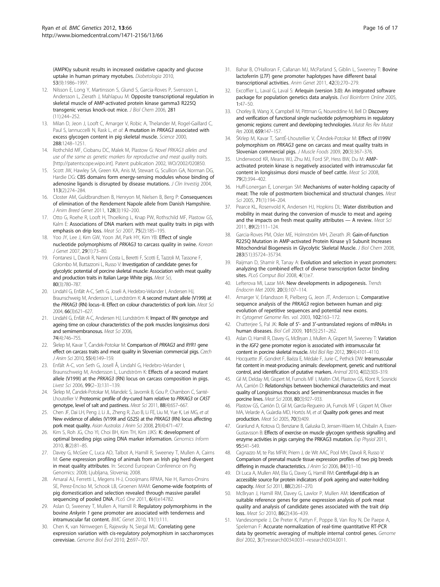<span id="page-15-0"></span>(AMPK)γ subunit results in increased oxidative capacity and glucose uptake in human primary myotubes. Diabetologia 2010, 53(9):1986–1997.

- 12. Nilsson E, Long Y, Martinsson S, Glund S, Garcia-Roves P, Svensson L, Andersson L, Zierath J, Mahlapuu M: Opposite transcriptional regulation in skeletal muscle of AMP-activated protein kinase gamma3 R225Q transgenic versus knock-out mice. J Biol Chem 2006, 281 (11):244–252.
- 13. Milan D, Jeon J, Looft C, Amarger V, Robic A, Thelander M, Rogel-Gaillard C, Paul S, Iannuccelli N, Rask L, et al: A mutation in PRKAG3 associated with excess glycogen content in pig skeletal muscle. Science 2000, 288:1248–1251.
- 14. Rothchild MF, Ciobanu DC, Malek M, Plastow G: Novel PRKAG3 alleles and use of the same as genetic markers for reproductive and meat quality traits. [[http://patentscope.wipo.int\]](http://patentscope.wipo.int). Patent publication 2002, WO/2002/020850.
- 15. Scott JW, Hawley SA, Green KA, Anis M, Stewart G, Scullion GA, Norman DG, Hardie DG: CBS domains form energy-sensing modules whose binding of adenosine ligands is disrupted by disease mutations. J Clin Investig 2004, 113(2):274–284.
- 16. Closter AM, Guldbrandtsen B, Henryon M, Nielsen B, Berg P: Consequences of elimination of the Rendement Napole allele from Danish Hampshire. J Anim Breed Genet 2011, 128(3):192–200.
- 17. Otto G, Roehe R, Looft H, Thoelking L, Knap PW, Rothschild MF, Plastow GS, Kalm E: Associations of DNA markers with meat quality traits in pigs with emphasis on drip loss. Meat Sci 2007, 75(2):185-195.
- 18. Yoo JY, Lee J, Kim GW, Yoon JM, Park HY, Kim YB: Effect of single nucleotide polymorphisms of PRKAG3 to carcass quality in swine. Korean J Genet 2007, 29(1):73–80.
- 19. Fontanesi L, Davoli R, Nanni Costa L, Beretti F, Scotti E, Tazzoli M, Tassone F, Colombo M, Buttazzoni L, Russo V: Investigation of candidate genes for glycolytic potential of porcine skeletal muscle: Association with meat quality and production traits in Italian Large White pigs. Meat Sci, 80(3):780–787.
- 20. Lindahl G, Enfält A-C, Seth G, Joseli A, Hedebro-Velander I, Andersen HJ, Braunschweig M, Andersson L, Lundström K: A second mutant allele (V199I) at the PRKAG3 (RN) locus--II. Effect on colour characteristics of pork loin. Meat Sci 2004, 66(3):621–627.
- 21. Lindahl G, Enfält A-C, Andersen HJ, Lundström K: Impact of RN genotype and ageing time on colour characteristics of the pork muscles longissimus dorsi and semimembranosus. Meat Sci 2006, 74(4):746–755.
- 22. Škrlep M, Kavar T, Čandek-Potokar M: Comparison of PRKAG3 and RYR1 gene effect on carcass traits and meat quality in Slovenian commercial pigs. Czech J Anim Sci 2010, 55(4):149–159.
- 23. Enfält A-C, von Seth G, Josell Å, Lindahl G, Hedebro-Velander I, Braunschweig M, Andersson L, Lundström K: Effects of a second mutant allele (V199I) at the PRKAG3 (RN) locus on carcass composition in pigs. Livest Sci 2006, 99(2–3):131–139.
- 24. Škrlep M, Čandek-Potokar M, Mandelc S, Javornik B, Gou P, Chambon C, Santé-Lhoutellier V: Proteomic profile of dry-cured ham relative to PRKAG3 or CAST genotype, level of salt and pastiness. Meat Sci 2011, 88(4):657–667.
- 25. Chen JF, Dai LH, Peng J, Li JL, Zheng R, Zuo B, Li FE, Liu M, Yue K, Lei MG, et al: New evidence of alleles (V199I and G52S) at the PRKAG3 (RN) locus affecting pork meat quality. Asian Australas J Anim Sci 2008, 21(4):471-477.
- 26. Kim S, Roh JG, Cho YI, Choi BH, Kim TH, Kim JJKS: K: development of optimal breeding pigs using DNA marker information. Genomics Inform 2010, 8(2):81–85.
- 27. Davey G, McGee C, Luca AD, Talbot A, Hamill R, Sweeney T, Mullen A, Cairns M: Gene expression profiling of animals from an Irish pig herd divergent in meat quality attributes. In: Second European Conference on Pig Genomics: 2008; Ljubljana, Slovenia; 2008.
- 28. Amaral AJ, Ferretti L, Megens H-J, Crooijmans RPMA, Nie H, Ramos-Onsins SE, Perez-Enciso M, Schook LB, Groenen MAM: Genome-wide footprints of pig domestication and selection revealed through massive parallel sequencing of pooled DNA. PLoS One 2011, 6(4):e14782.
- 29. Aslan O, Sweeney T, Mullen A, Hamill R: Regulatory polymorphisms in the bovine Ankyrin 1 gene promoter are associated with tenderness and intramuscular fat content. BMC Genet 2010, 11(1):111.
- 30. Chen K, van Nimwegen E, Rajewsky N, Siegal ML: Correlating gene expression variation with cis-regulatory polymorphism in saccharomyces cerevisiae. Genome Biol Evol 2010, 2:697–707.
- 31. Bahar B, O'Halloran F, Callanan MJ, McParland S, Giblin L, Sweeney T: Bovine lactoferrin (LTF) gene promoter haplotypes have different basal transcriptional activities. Anim Genet 2011, 42(3):270–279.
- 32. Excoffier L, Laval G, Laval S: Arlequin (version 3.0): An integrated software package for population genetics data analysis. Evol Bioinform Online 2005, 1:47–50.
- 33. Chorley B, Wang X, Campbell M, Pittman G, Noureddine M, Bell D: Discovery and verification of functional single nucleotide polymorphisms in regulatory genomic regions: current and developing technologies. Mutat Res Rev Mutat Res 2008, 659:147–157.
- 34. ŠKrlep M, Kavar T, SantÉ-Lhoutellier V, ČAndek-Potokar M: Effect of I199V polymorphism on PRKAG3 gene on carcass and meat quality traits in Slovenian commercial pigs. J Muscle Foods 2009, 20(3):367–376.
- 35. Underwood KR, Means WJ, Zhu MJ, Ford SP, Hess BW, Du M: AMPactivated protein kinase is negatively associated with intramuscular fat content in longissimus dorsi muscle of beef cattle. Meat Sci 2008, 79(2):394–402.
- 36. Huff-Lonergan E, Lonergan SM: Mechanisms of water-holding capacity of meat: The role of postmortem biochemical and structural changes. Meat Sci 2005, 71(1):194–204.
- 37. Pearce KL, Rosenvold K, Andersen HJ, Hopkins DL: Water distribution and mobility in meat during the conversion of muscle to meat and ageing and the impacts on fresh meat quality attributes - A review. Meat Sci 2011, 89(2):111–124.
- 38. Garcia-Roves PM, Osler ME, Holmström MH, Zierath JR: Gain-of-function R225Q Mutation in AMP-activated Protein Kinase γ3 Subunit Increases Mitochondrial Biogenesis in Glycolytic Skeletal Muscle. J Biol Chem 2008, 283(51):35724–35734.
- 39. Raijman D, Shamir R, Tanay A: Evolution and selection in yeast promoters: analyzing the combined effect of diverse transcription factor binding sites. PLoS Comput Biol 2008, 4(1):e7.
- 40. Lefterova MI, Lazar MA: New developments in adipogenesis. Trends Endocrin Met 2009, 20(3):107–114.
- 41. Amarger V, Erlandsson R, Pielberg G, Jeon JT, Andersson L: Comparative sequence analysis of the PRKAG3 region between human and pig: evolution of repetitive sequences and potential new exons. In: Cytogenet Genome Res. vol. 2003, 102:163–172.
- Chatterjee S, Pal JK: Role of 5'- and 3'-untranslated regions of mRNAs in human diseases. Biol Cell 2009, 101(5):251–262.
- 43. Aslan O, Hamill R, Davey G, McBryan J, Mullen A, Gispert M, Sweeney T: Variation in the IGF2 gene promoter region is associated with intramuscular fat content in porcine skeletal muscle. Mol Biol Rep 2012, 39(4):4101–4110.
- 44. Hocquette JF, Gondret F, Baéza E, Médale F, Jurie C, Pethick DW: Intramuscular fat content in meat-producing animals: development, genetic and nutritional control, and identification of putative markers. Animal 2010, 4(02):303–319.
- 45. Gil M, Delday MI, Gispert M, Furnols MF I, Maltin CM, Plastow GS, Klont R, Sosnicki AA, Carrión D: Relationships between biochemical characteristics and meat quality of Longissimus thoracis and Semimembranosus muscles in five porcine lines. Meat Sci 2008, 80(3):927–933.
- 46. Plastow GS, Carrión D, Gil M, GarcIa-Regueiro JA, Furnols MF I, Gispert M, Oliver MA, Velarde A, Guàrdia MD, Hortós M, et al: Quality pork genes and meat production. Meat Sci 2005, 70(3):409.
- 47. Granlund A, Kotova O, Benziane B, Galuska D, Jensen-Waern M, Chibalin A, Essen-Gustavsson B: Effects of exercise on muscle glycogen synthesis signalling and enzyme activities in pigs carrying the PRKAG3 mutation. Exp Physiol 2011, 95:541–549.
- 48. Cagnazzo M, te Pas MFW, Priem J, de Wit AAC, Pool MH, Davoli R, Russo V: Comparison of prenatal muscle tissue expression profiles of two pig breeds differing in muscle characteristics. *J Anim Sci* 2006, 84(1):1-10.
- 49. Di Luca A, Mullen AM, Elia G, Davey G, Hamill RM: Centrifugal drip is an accessible source for protein indicators of pork ageing and water-holding capacity. Meat Sci 2011, 88(2):261-270.
- 50. McBryan J, Hamill RM, Davey G, Lawlor P, Mullen AM: Identification of suitable reference genes for gene expression analysis of pork meat quality and analysis of candidate genes associated with the trait drip loss. Meat Sci 2010, 86(2):436–439.
- 51. Vandesompele J, De Preter K, Pattyn F, Poppe B, Van Roy N, De Paepe A, Speleman F: Accurate normalization of real-time quantitative RT-PCR data by geometric averaging of multiple internal control genes. Genome Biol 2002, 3(7):research0034.0031–research0034.0011.